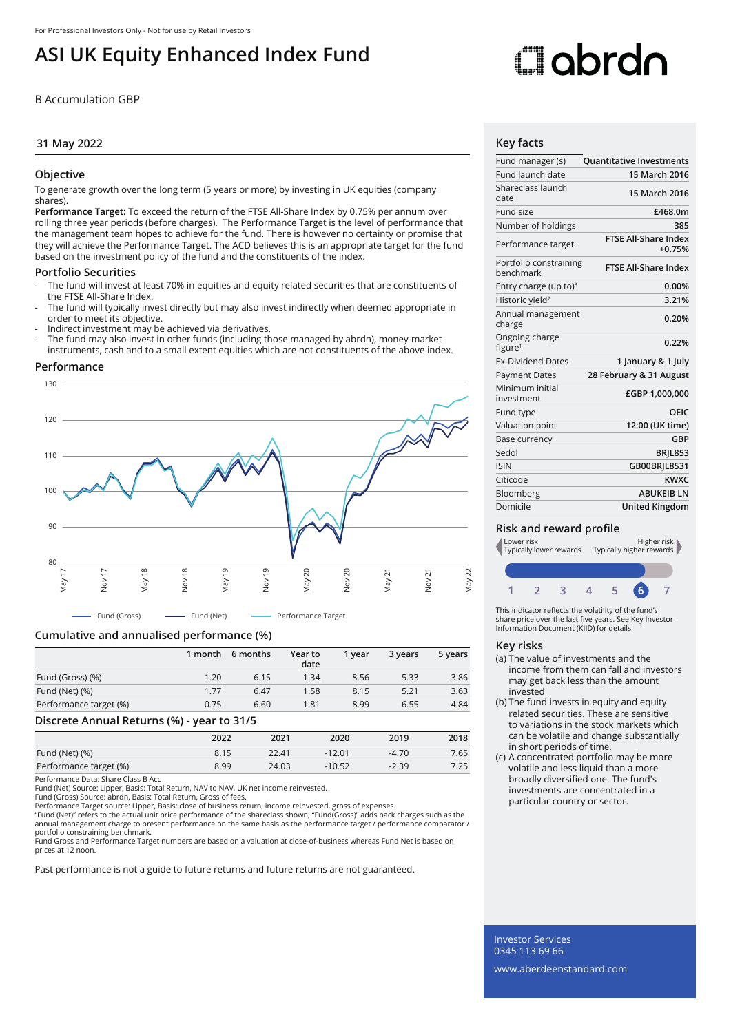## **ASI UK Equity Enhanced Index Fund**

B Accumulation GBP

#### **31 May 2022**

#### **Objective**

To generate growth over the long term (5 years or more) by investing in UK equities (company shares).

**Performance Target:** To exceed the return of the FTSE All-Share Index by 0.75% per annum over rolling three year periods (before charges). The Performance Target is the level of performance that the management team hopes to achieve for the fund. There is however no certainty or promise that they will achieve the Performance Target. The ACD believes this is an appropriate target for the fund based on the investment policy of the fund and the constituents of the index.

#### **Portfolio Securities**

- The fund will invest at least 70% in equities and equity related securities that are constituents of the FTSE All-Share Index.
- The fund will typically invest directly but may also invest indirectly when deemed appropriate in order to meet its objective.
- Indirect investment may be achieved via derivatives.
- The fund may also invest in other funds (including those managed by abrdn), money-market instruments, cash and to a small extent equities which are not constituents of the above index.

#### **Performance**



### **Cumulative and annualised performance (%)**

|                        | 1 month | 6 months | Year to<br>date | 1 vear | 3 years | 5 years |
|------------------------|---------|----------|-----------------|--------|---------|---------|
| Fund (Gross) (%)       | 1.20    | 6.15     | 1.34            | 8.56   | 5.33    | 3.86    |
| Fund (Net) (%)         | 1.77    | 6.47     | 1.58            | 8.15   | 5.21    | 3.63    |
| Performance target (%) | 0.75    | 6.60     | 1.81            | 8.99   | 6.55    | 4.84    |

#### **Discrete Annual Returns (%) - year to 31/5**

|                        | 2022 | 2021  | 2020     | 2019    | 2018 |
|------------------------|------|-------|----------|---------|------|
| Fund (Net) (%)         | 8.15 | 22.41 | $-12.01$ | $-4.70$ | 7.65 |
| Performance target (%) | 8.99 | 24.03 | $-10.52$ | $-2.39$ | 7.25 |

Performance Data: Share Class B Acc

Fund (Net) Source: Lipper, Basis: Total Return, NAV to NAV, UK net income reinvested.

Fund (Gross) Source: abrdn, Basis: Total Return, Gross of fees. Performance Target source: Lipper, Basis: close of business return, income reinvested, gross of expenses.

"Fund (Net)" refers to the actual unit price performance of the shareclass shown; "Fund(Gross)" adds back charges such as the<br>annual management charge to present performance on the same basis as the performance target / pe portfolio constraining benchmark.

Fund Gross and Performance Target numbers are based on a valuation at close-of-business whereas Fund Net is based on prices at 12 noon.

Past performance is not a guide to future returns and future returns are not guaranteed.

# Oobrdo

#### **Key facts**

| Fund manager (s)                      | <b>Quantitative Investments</b>         |
|---------------------------------------|-----------------------------------------|
| Fund launch date                      | 15 March 2016                           |
| Shareclass launch<br>date             | 15 March 2016                           |
| Fund size                             | £468.0m                                 |
| Number of holdings                    | 385                                     |
| Performance target                    | <b>FTSE All-Share Index</b><br>$+0.75%$ |
| Portfolio constraining<br>benchmark   | <b>FTSE All-Share Index</b>             |
| Entry charge (up to) <sup>3</sup>     | 0.00%                                   |
| Historic yield <sup>2</sup>           | 3.21%                                   |
| Annual management<br>charge           | 0.20%                                   |
| Ongoing charge<br>figure <sup>1</sup> | 0.22%                                   |
| <b>Ex-Dividend Dates</b>              | 1 January & 1 July                      |
| <b>Payment Dates</b>                  | 28 February & 31 August                 |
| Minimum initial<br>investment         | £GBP 1,000,000                          |
| Fund type                             | OEIC                                    |
| Valuation point                       | 12:00 (UK time)                         |
| Base currency                         | GBP                                     |
| Sedol                                 | <b>BRIL853</b>                          |
| <b>ISIN</b>                           | GB00BRJL8531                            |
| Citicode                              | <b>KWXC</b>                             |
| Bloomberg                             | <b>ABUKFIB IN</b>                       |
| Domicile                              | <b>United Kingdom</b>                   |
|                                       |                                         |

#### **Risk and reward profile**



This indicator reflects the volatility of the fund's share price over the last five years. See Key Investor Information Document (KIID) for details.

#### **Key risks**

- (a) The value of investments and the income from them can fall and investors may get back less than the amount invested
- (b) The fund invests in equity and equity related securities. These are sensitive to variations in the stock markets which can be volatile and change substantially in short periods of time.
- (c) A concentrated portfolio may be more volatile and less liquid than a more broadly diversified one. The fund's investments are concentrated in a particular country or sector.